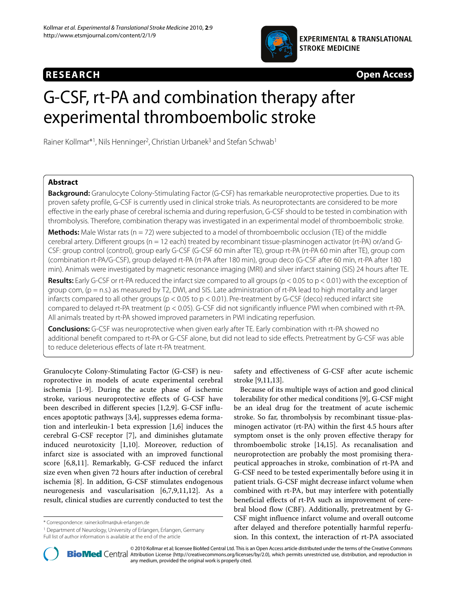



# G-CSF, rt-PA and combination therapy after experimental thromboembolic stroke

Rainer Kollmar<sup>\*1</sup>, Nils Henninger<sup>2</sup>, Christian Urbanek<sup>3</sup> and Stefan Schwab<sup>1</sup>

# **Abstract**

**Background:** Granulocyte Colony-Stimulating Factor (G-CSF) has remarkable neuroprotective properties. Due to its proven safety profile, G-CSF is currently used in clinical stroke trials. As neuroprotectants are considered to be more effective in the early phase of cerebral ischemia and during reperfusion, G-CSF should to be tested in combination with thrombolysis. Therefore, combination therapy was investigated in an experimental model of thromboembolic stroke.

**Methods:** Male Wistar rats (n = 72) were subjected to a model of thromboembolic occlusion (TE) of the middle cerebral artery. Different groups (n = 12 each) treated by recombinant tissue-plasminogen activator (rt-PA) or/and G-CSF: group control (control), group early G-CSF (G-CSF 60 min after TE), group rt-PA (rt-PA 60 min after TE), group com (combination rt-PA/G-CSF), group delayed rt-PA (rt-PA after 180 min), group deco (G-CSF after 60 min, rt-PA after 180 min). Animals were investigated by magnetic resonance imaging (MRI) and silver infarct staining (SIS) 24 hours after TE.

**Results:** Early G-CSF or rt-PA reduced the infarct size compared to all groups (p < 0.05 to p < 0.01) with the exception of group com,  $(p = n.s.)$  as measured by T2, DWI, and SIS. Late administration of rt-PA lead to high mortality and larger infarcts compared to all other groups ( $p < 0.05$  to  $p < 0.01$ ). Pre-treatment by G-CSF (deco) reduced infarct site compared to delayed rt-PA treatment (p < 0.05). G-CSF did not significantly influence PWI when combined with rt-PA. All animals treated by rt-PA showed improved parameters in PWI indicating reperfusion.

**Conclusions:** G-CSF was neuroprotective when given early after TE. Early combination with rt-PA showed no additional benefit compared to rt-PA or G-CSF alone, but did not lead to side effects. Pretreatment by G-CSF was able to reduce deleterious effects of late rt-PA treatment.

Granulocyte Colony-Stimulating Factor (G-CSF) is neuroprotective in models of acute experimental cerebral ischemia [\[1](#page-7-0)-[9\]](#page-7-1). During the acute phase of ischemic stroke, various neuroprotective effects of G-CSF have been described in different species [[1](#page-7-0),[2,](#page-7-2)[9\]](#page-7-1). G-CSF influences apoptotic pathways [[3,](#page-7-3)[4\]](#page-7-4), suppresses edema formation and interleukin-1 beta expression [[1,](#page-7-0)[6\]](#page-7-5) induces the cerebral G-CSF receptor [\[7](#page-7-6)], and diminishes glutamate induced neurotoxicity [[1,](#page-7-0)[10\]](#page-7-7). Moreover, reduction of infarct size is associated with an improved functional score [\[6](#page-7-5)[,8](#page-7-8)[,11](#page-7-9)]. Remarkably, G-CSF reduced the infarct size even when given 72 hours after induction of cerebral ischemia [\[8](#page-7-8)]. In addition, G-CSF stimulates endogenous neurogenesis and vascularisation [[6,](#page-7-5)[7,](#page-7-6)[9](#page-7-1)[,11](#page-7-9)[,12](#page-7-10)]. As a result, clinical studies are currently conducted to test the

<sup>1</sup> Department of Neurology, University of Erlangen, Erlangen, Germany Full list of author information is available at the end of the article

safety and effectiveness of G-CSF after acute ischemic stroke [\[9](#page-7-1),[11](#page-7-9),[13](#page-7-11)].

Because of its multiple ways of action and good clinical tolerability for other medical conditions [[9\]](#page-7-1), G-CSF might be an ideal drug for the treatment of acute ischemic stroke. So far, thrombolysis by recombinant tissue-plasminogen activator (rt-PA) within the first 4.5 hours after symptom onset is the only proven effective therapy for thromboembolic stroke [\[14](#page-7-12),[15](#page-7-13)]. As recanalisation and neuroprotection are probably the most promising therapeutical approaches in stroke, combination of rt-PA and G-CSF need to be tested experimentally before using it in patient trials. G-CSF might decrease infarct volume when combined with rt-PA, but may interfere with potentially beneficial effects of rt-PA such as improvement of cerebral blood flow (CBF). Additionally, pretreatment by G-CSF might influence infarct volume and overall outcome after delayed and therefore potentially harmful reperfusion. In this context, the interaction of rt-PA associated



2010 Kollmar et al; licensee [BioMed](http://www.biomedcentral.com/) Central Ltd. This is an Open Access article distributed under the terms of the Creative Commons (http://creativecommons.org/licenses/by/2.0), which permits unrestricted use, distribution any medium, provided the original work is properly cited.

<sup>\*</sup> Correspondence: rainer.kollmar@uk-erlangen.de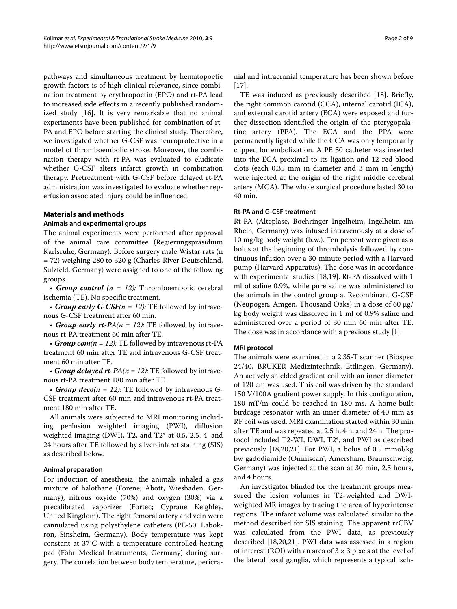pathways and simultaneous treatment by hematopoetic growth factors is of high clinical relevance, since combination treatment by erythropoetin (EPO) and rt-PA lead to increased side effects in a recently published randomized study [[16\]](#page-7-14). It is very remarkable that no animal experiments have been published for combination of rt-PA and EPO before starting the clinical study. Therefore, we investigated whether G-CSF was neuroprotective in a model of thromboembolic stroke. Moreover, the combination therapy with rt-PA was evaluated to eludicate whether G-CSF alters infarct growth in combination therapy. Pretreatment with G-CSF before delayed rt-PA administration was investigated to evaluate whether reperfusion associated injury could be influenced.

# **Materials and methods**

# **Animals and experimental groups**

The animal experiments were performed after approval of the animal care committee (Regierungspräsidium Karlsruhe, Germany). Before surgery male Wistar rats (n = 72) weighing 280 to 320 g (Charles-River Deutschland, Sulzfeld, Germany) were assigned to one of the following groups.

• *Group control (n = 12):* Thromboembolic cerebral ischemia (TE). No specific treatment.

• *Group early G-CSF(n = 12):* TE followed by intravenous G-CSF treatment after 60 min.

• *Group early rt-PA(n = 12):* TE followed by intravenous rt-PA treatment 60 min after TE.

• *Group com*( $n = 12$ ): TE followed by intravenous rt-PA treatment 60 min after TE and intravenous G-CSF treatment 60 min after TE.

• *Group delayed rt-PA(n = 12):* TE followed by intravenous rt-PA treatment 180 min after TE.

• *Group deco(n = 12):* TE followed by intravenous G-CSF treatment after 60 min and intravenous rt-PA treatment 180 min after TE.

All animals were subjected to MRI monitoring including perfusion weighted imaging (PWI), diffusion weighted imaging (DWI), T2, and T2\* at 0.5, 2.5, 4, and 24 hours after TE followed by silver-infarct staining (SIS) as described below.

# **Animal preparation**

For induction of anesthesia, the animals inhaled a gas mixture of halothane (Forene; Abott, Wiesbaden, Germany), nitrous oxyide (70%) and oxygen (30%) via a precalibrated vaporizer (Fortec; Cyprane Keighley, United Kingdom). The right femoral artery and vein were cannulated using polyethylene catheters (PE-50; Labokron, Sinsheim, Germany). Body temperature was kept constant at 37°C with a temperature-controlled heating pad (Föhr Medical Instruments, Germany) during surgery. The correlation between body temperature, pericra-

nial and intracranial temperature has been shown before [[17\]](#page-8-0).

TE was induced as previously described [[18](#page-8-1)]. Briefly, the right common carotid (CCA), internal carotid (ICA), and external carotid artery (ECA) were exposed and further dissection identified the origin of the pterygopalatine artery (PPA). The ECA and the PPA were permanently ligated while the CCA was only temporarily clipped for embolization. A PE 50 catheter was inserted into the ECA proximal to its ligation and 12 red blood clots (each 0.35 mm in diameter and 3 mm in length) were injected at the origin of the right middle cerebral artery (MCA). The whole surgical procedure lasted 30 to 40 min.

#### **Rt-PA and G-CSF treatment**

Rt-PA (Alteplase, Boehringer Ingelheim, Ingelheim am Rhein, Germany) was infused intravenously at a dose of 10 mg/kg body weight (b.w.). Ten percent were given as a bolus at the beginning of thrombolysis followed by continuous infusion over a 30-minute period with a Harvard pump (Harvard Apparatus). The dose was in accordance with experimental studies [[18,](#page-8-1)[19\]](#page-8-2). Rt-PA dissolved with 1 ml of saline 0.9%, while pure saline was administered to the animals in the control group a. Recombinant G-CSF (Neupogen, Amgen, Thousand Oaks) in a dose of 60 μg/ kg body weight was dissolved in 1 ml of 0.9% saline and administered over a period of 30 min 60 min after TE. The dose was in accordance with a previous study [\[1](#page-7-0)].

#### **MRI protocol**

The animals were examined in a 2.35-T scanner (Biospec 24/40, BRUKER Medizintechnik, Ettlingen, Germany). An actively shielded gradient coil with an inner diameter of 120 cm was used. This coil was driven by the standard 150 V/100A gradient power supply. In this configuration, 180 mT/m could be reached in 180 ms. A home-built birdcage resonator with an inner diameter of 40 mm as RF coil was used. MRI examination started within 30 min after TE and was repeated at 2.5 h, 4 h, and 24 h. The protocol included T2-WI, DWI, T2\*, and PWI as described previously [[18,](#page-8-1)[20,](#page-8-3)[21\]](#page-8-4). For PWI, a bolus of 0.5 mmol/kg bw gadodiamide (Omniscan<sup>®</sup>, Amersham, Braunschweig, Germany) was injected at the scan at 30 min, 2.5 hours, and 4 hours.

An investigator blinded for the treatment groups measured the lesion volumes in T2-weighted and DWIweighted MR images by tracing the area of hyperintense regions. The infarct volume was calculated similar to the method described for SIS staining. The apparent rrCBV was calculated from the PWI data, as previously described [[18,](#page-8-1)[20](#page-8-3)[,21\]](#page-8-4). PWI data was assessed in a region of interest (ROI) with an area of  $3 \times 3$  pixels at the level of the lateral basal ganglia, which represents a typical isch-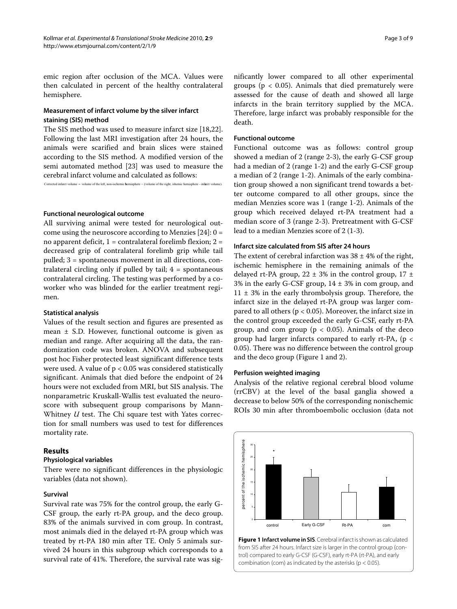emic region after occlusion of the MCA. Values were then calculated in percent of the healthy contralateral hemisphere.

# **Measurement of infarct volume by the silver infarct staining (SIS) method**

The SIS method was used to measure infarct size [\[18](#page-8-1)[,22](#page-8-5)]. Following the last MRI investigation after 24 hours, the animals were scarified and brain slices were stained according to the SIS method. A modified version of the semi automated method [[23\]](#page-8-6) was used to measure the cerebral infarct volume and calculated as follows:

Corrected infarct volume = volume of the left, non-ischemic hemisphere = ( volume of the right, ishemic hemisphere - infarct volume).

#### **Functional neurological outcome**

All surviving animal were tested for neurological outcome using the neuroscore according to Menzies  $[24]: 0 =$  $[24]: 0 =$ no apparent deficit, 1 = contralateral forelimb flexion; 2 = decreased grip of contralateral forelimb grip while tail pulled; 3 = spontaneous movement in all directions, contralateral circling only if pulled by tail;  $4 =$  spontaneous contralateral circling. The testing was performed by a coworker who was blinded for the earlier treatment regimen.

#### **Statistical analysis**

Values of the result section and figures are presented as mean  $\pm$  S.D. However, functional outcome is given as median and range. After acquiring all the data, the randomization code was broken. ANOVA and subsequent post hoc Fisher protected least significant difference tests were used. A value of  $p < 0.05$  was considered statistically significant. Animals that died before the endpoint of 24 hours were not excluded from MRI, but SIS analysis. The nonparametric Kruskall-Wallis test evaluated the neuroscore with subsequent group comparisons by Mann-Whitney *U* test. The Chi square test with Yates correction for small numbers was used to test for differences mortality rate.

# **Results**

# **Physiological variables**

There were no significant differences in the physiologic variables (data not shown).

# **Survival**

Survival rate was 75% for the control group, the early G-CSF group, the early rt-PA group, and the deco group. 83% of the animals survived in com group. In contrast, most animals died in the delayed rt-PA group which was treated by rt-PA 180 min after TE. Only 5 animals survived 24 hours in this subgroup which corresponds to a survival rate of 41%. Therefore, the survival rate was sig-

nificantly lower compared to all other experimental groups ( $p < 0.05$ ). Animals that died prematurely were assessed for the cause of death and showed all large infarcts in the brain territory supplied by the MCA. Therefore, large infarct was probably responsible for the death.

# **Functional outcome**

Functional outcome was as follows: control group showed a median of 2 (range 2-3), the early G-CSF group had a median of 2 (range 1-2) and the early G-CSF group a median of 2 (range 1-2). Animals of the early combination group showed a non significant trend towards a better outcome compared to all other groups, since the median Menzies score was 1 (range 1-2). Animals of the group which received delayed rt-PA treatment had a median score of 3 (range 2-3). Pretreatment with G-CSF lead to a median Menzies score of 2 (1-3).

# **Infarct size calculated from SIS after 24 hours**

The extent of cerebral infarction was  $38 \pm 4\%$  of the right, ischemic hemisphere in the remaining animals of the delayed rt-PA group,  $22 \pm 3\%$  in the control group,  $17 \pm 1$ 3% in the early G-CSF group,  $14 \pm 3$ % in com group, and  $11 \pm 3\%$  in the early thrombolysis group. Therefore, the infarct size in the delayed rt-PA group was larger compared to all others (p < 0.05). Moreover, the infarct size in the control group exceeded the early G-CSF, early rt-PA group, and com group ( $p < 0.05$ ). Animals of the deco group had larger infarcts compared to early rt-PA, (p < 0.05). There was no difference between the control group and the deco group (Figure [1](#page-2-0) and [2\)](#page-3-0).

#### **Perfusion weighted imaging**

Analysis of the relative regional cerebral blood volume (rrCBV) at the level of the basal ganglia showed a decrease to below 50% of the corresponding nonischemic ROIs 30 min after thromboembolic occlusion (data not

<span id="page-2-0"></span>

**Figure 1 Infarct volume in SIS**. Cerebral infarct is shown as calculated from SIS after 24 hours. Infarct size is larger in the control group (control) compared to early G-CSF (G-CSF), early rt-PA (rt-PA), and early combination (com) as indicated by the asterisks ( $p < 0.05$ ).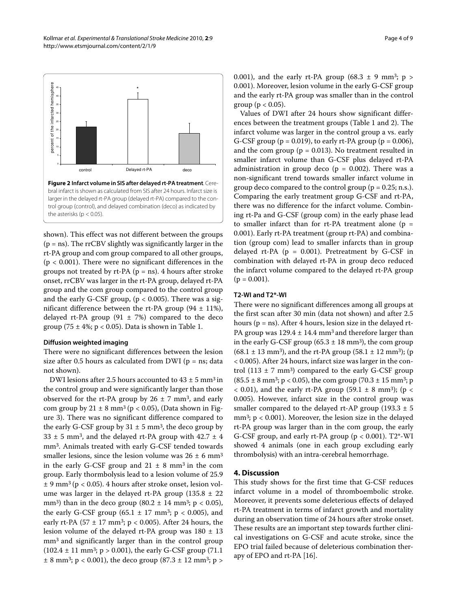<span id="page-3-0"></span>

bral infarct is shown as calculated from SIS after 24 hours. Infarct size is larger in the delayed rt-PA group (delayed rt-PA) compared to the control group (control), and delayed combination (deco) as indicated by the asterisks ( $p < 0.05$ ).

shown). This effect was not different between the groups  $(p = ns)$ . The rrCBV slightly was significantly larger in the rt-PA group and com group compared to all other groups, (p < 0.001). There were no significant differences in the groups not treated by  $rt-PA$  ( $p = ns$ ). 4 hours after stroke onset, rrCBV was larger in the rt-PA group, delayed rt-PA group and the com group compared to the control group and the early G-CSF group,  $(p < 0.005)$ . There was a significant difference between the rt-PA group  $(94 \pm 11\%)$ , delayed rt-PA group  $(91 \pm 7%)$  compared to the deco group (75  $\pm$  4%; p < 0.05). Data is shown in Table 1.

#### **Diffusion weighted imaging**

There were no significant differences between the lesion size after 0.5 hours as calculated from DWI ( $p = ns$ ; data not shown).

DWI lesions after 2.5 hours accounted to  $43 \pm 5$  mm<sup>3</sup> in the control group and were significantly larger than those observed for the rt-PA group by  $26 \pm 7$  mm<sup>3</sup>, and early com group by  $21 \pm 8$  mm<sup>3</sup> (p < 0.05), (Data shown in Figure [3](#page-5-0)). There was no significant difference compared to the early G-CSF group by  $31 \pm 5$  mm<sup>3</sup>, the deco group by  $33 \pm 5$  mm<sup>3</sup>, and the delayed rt-PA group with  $42.7 \pm 4$ mm3. Animals treated with early G-CSF tended towards smaller lesions, since the lesion volume was  $26 \pm 6$  mm<sup>3</sup> in the early G-CSF group and  $21 \pm 8$  mm<sup>3</sup> in the com group. Early thormbolysis lead to a lesion volume of 25.9  $\pm$  9 mm<sup>3</sup> (p < 0.05). 4 hours after stroke onset, lesion volume was larger in the delayed rt-PA group  $(135.8 \pm 22)$ mm<sup>3</sup>) than in the deco group  $(80.2 \pm 14 \text{ mm}^3; \text{ p} < 0.05)$ , the early G-CSF group (65.1  $\pm$  17 mm<sup>3</sup>; p < 0.005), and early rt-PA (57  $\pm$  17 mm<sup>3</sup>; p < 0.005). After 24 hours, the lesion volume of the delayed rt-PA group was  $180 \pm 13$ mm<sup>3</sup> and significantly larger than in the control group  $(102.4 \pm 11 \text{ mm}^3; p > 0.001)$ , the early G-CSF group (71.1)  $\pm$  8 mm<sup>3</sup>; p < 0.001), the deco group (87.3  $\pm$  12 mm<sup>3</sup>; p >

0.001), and the early rt-PA group (68.3  $\pm$  9 mm<sup>3</sup>; p > 0.001). Moreover, lesion volume in the early G-CSF group and the early rt-PA group was smaller than in the control group ( $p < 0.05$ ).

Values of DWI after 24 hours show significant differences between the treatment groups (Table 1 and [2](#page-6-0)). The infarct volume was larger in the control group a vs. early G-CSF group ( $p = 0.019$ ), to early rt-PA group ( $p = 0.006$ ), and the com group ( $p = 0.013$ ). No treatment resulted in smaller infarct volume than G-CSF plus delayed rt-PA administration in group deco ( $p = 0.002$ ). There was a non-significant trend towards smaller infarct volume in group deco compared to the control group ( $p = 0.25$ ; n.s.). Comparing the early treatment group G-CSF and rt-PA, there was no difference for the infarct volume. Combining rt-Pa and G-CSF (group com) in the early phase lead to smaller infarct than for rt-PA treatment alone ( $p =$ 0.001). Early rt-PA treatment (group rt-PA) and combination (group com) lead to smaller infarcts than in group delayed rt-PA  $(p = 0.001)$ . Pretreatment by G-CSF in combination with delayed rt-PA in group deco reduced the infarct volume compared to the delayed rt-PA group  $(p = 0.001)$ .

# **T2-WI and T2\*-WI**

There were no significant differences among all groups at the first scan after 30 min (data not shown) and after 2.5 hours ( $p = ns$ ). After 4 hours, lesion size in the delayed rt-PA group was  $129.4 \pm 14.4$  mm<sup>3</sup> and therefore larger than in the early G-CSF group (65.3  $\pm$  18 mm<sup>3</sup>), the com group  $(68.1 \pm 13 \text{ mm}^3)$ , and the rt-PA group  $(58.1 \pm 12 \text{ mm}^3)$ ; (p < 0.005). After 24 hours, infarct size was larger in the control (113  $\pm$  7 mm<sup>3</sup>) compared to the early G-CSF group  $(85.5 \pm 8 \text{ mm}^3; \text{ p} < 0.05)$ , the com group  $(70.3 \pm 15 \text{ mm}^3; \text{ p})$  $<$  0.01), and the early rt-PA group (59.1  $\pm$  8 mm<sup>3</sup>); (p  $<$ 0.005). However, infarct size in the control group was smaller compared to the delayed rt-AP group (193.3  $\pm$  5 mm3; p < 0.001). Moreover, the lesion size in the delayed rt-PA group was larger than in the com group, the early G-CSF group, and early rt-PA group (p < 0.001). T2\*-WI showed 4 animals (one in each group excluding early thrombolysis) with an intra-cerebral hemorrhage.

# **4. Discussion**

This study shows for the first time that G-CSF reduces infarct volume in a model of thromboembolic stroke. Moreover, it prevents some deleterious effects of delayed rt-PA treatment in terms of infarct growth and mortality during an observation time of 24 hours after stroke onset. These results are an important step towards further clinical investigations on G-CSF and acute stroke, since the EPO trial failed because of deleterious combination therapy of EPO and rt-PA [\[16](#page-7-14)].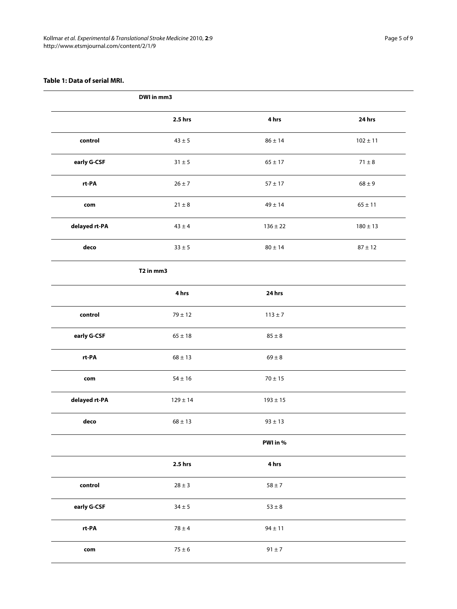# **Table 1: Data of serial MRI.**

|               | DWI in mm3                        |              |              |
|---------------|-----------------------------------|--------------|--------------|
|               | 2.5 hrs                           | 4 hrs        | 24 hrs       |
| control       | $43 \pm 5$                        | $86 \pm 14$  | $102 \pm 11$ |
| early G-CSF   | $31\pm5$                          | $65 \pm 17$  | $71\pm8$     |
| rt-PA         | $26 \pm 7$                        | $57\pm17$    | $68\pm9$     |
| com           | $21 \pm 8$                        | $49 \pm 14$  | $65 \pm 11$  |
| delayed rt-PA | $43 \pm 4$                        | $136 \pm 22$ | $180 \pm 13$ |
| deco          | $33\pm5$                          | $80\pm14$    | $87 \pm 12$  |
|               | T <sub>2</sub> in mm <sub>3</sub> |              |              |
|               | 4 hrs                             | 24 hrs       |              |
| control       | $79 \pm 12$                       | $113 \pm 7$  |              |
| early G-CSF   | $65 \pm 18$                       | $85 \pm 8$   |              |
| rt-PA         | $68 \pm 13$                       | $69 \pm 8$   |              |
| com           | $54\pm16$                         | $70\pm15$    |              |
| delayed rt-PA | $129 \pm 14$                      | $193\pm15$   |              |
| deco          | $68 \pm 13$                       | $93 \pm 13$  |              |
|               |                                   | PWI in %     |              |
|               | 2.5 hrs                           | 4 hrs        |              |
| control       | $28\pm3$                          | $58\pm7$     |              |
| early G-CSF   | $34\pm5$                          | $53\pm8$     |              |
| $rt$ -PA      | $78 \pm 4$                        | $94 \pm 11$  |              |
| com           | $75\pm6$                          | $91\pm7$     |              |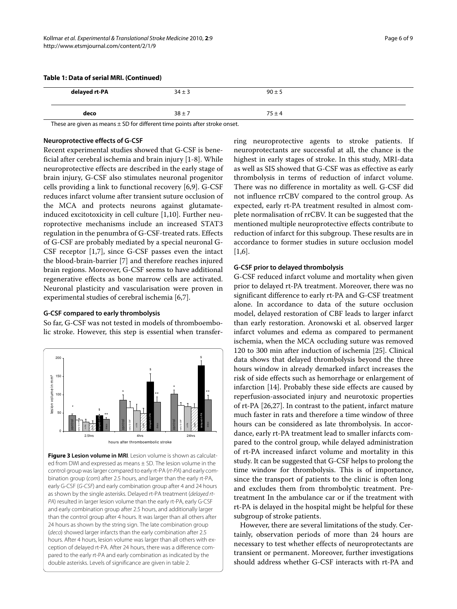# **Table 1: Data of serial MRI. (Continued)**

| delayed rt-PA | $34 \pm 3$ | $90 \pm 5$ |  |
|---------------|------------|------------|--|
| deco          | $38 + 7$   | $75 \pm 4$ |  |

These are given as means  $\pm$  SD for different time points after stroke onset.

#### **Neuroprotective effects of G-CSF**

Recent experimental studies showed that G-CSF is beneficial after cerebral ischemia and brain injury [\[1](#page-7-0)-[8\]](#page-7-8). While neuroprotective effects are described in the early stage of brain injury, G-CSF also stimulates neuronal progenitor cells providing a link to functional recovery [\[6](#page-7-5),[9](#page-7-1)]. G-CSF reduces infarct volume after transient suture occlusion of the MCA and protects neurons against glutamateinduced excitotoxicity in cell culture [[1,](#page-7-0)[10\]](#page-7-7). Further neuroprotective mechanisms include an increased STAT3 regulation in the penumbra of G-CSF-treated rats. Effects of G-CSF are probably mediated by a special neuronal G-CSF receptor [\[1](#page-7-0)[,7](#page-7-6)], since G-CSF passes even the intact the blood-brain-barrier [[7\]](#page-7-6) and therefore reaches injured brain regions. Moreover, G-CSF seems to have additional regenerative effects as bone marrow cells are activated. Neuronal plasticity and vascularisation were proven in experimental studies of cerebral ischemia [[6,](#page-7-5)[7\]](#page-7-6).

#### **G-CSF compared to early thrombolysis**

So far, G-CSF was not tested in models of thromboembolic stroke. However, this step is essential when transfer-

<span id="page-5-0"></span>

**Figure 3 Lesion volume in MRI**. Lesion volume is shown as calculated from DWI and expressed as means ± SD. The lesion volume in the control group was larger compared to early rt-PA (rt-PA) and early combination group (com) after 2.5 hours, and larger than the early rt-PA, early G-CSF (G-CSF) and early combination group after 4 and 24 hours as shown by the single asterisks. Delayed rt-PA treatment (delayed rt-PA) resulted in larger lesion volume than the early rt-PA, early G-CSF and early combination group after 2.5 hours, and additionally larger than the control group after 4 hours. It was larger than all others after 24 hours as shown by the string sign. The late combination group (deco) showed larger infarcts than the early combination after 2.5 hours. After 4 hours, lesion volume was larger than all others with exception of delayed rt-PA. After 24 hours, there was a difference compared to the early rt-PA and early combination as indicated by the **Exercise of significance are given in table 2.** and a hours atter thromboembolic stroke<br> **Figure 3 Lesion volume in MRI**. Lesion volume is shown<br>
ed from DWI and expressed as means ± SD. The lesion volu<br>
control group wa

ring neuroprotective agents to stroke patients. If neuroprotectants are successful at all, the chance is the highest in early stages of stroke. In this study, MRI-data as well as SIS showed that G-CSF was as effective as early thrombolysis in terms of reduction of infarct volume. There was no difference in mortality as well. G-CSF did not influence rrCBV compared to the control group. As expected, early rt-PA treatment resulted in almost complete normalisation of rrCBV. It can be suggested that the mentioned multiple neuroprotective effects contribute to reduction of infarct for this subgroup. These results are in accordance to former studies in suture occlusion model  $[1,6]$  $[1,6]$  $[1,6]$ .

# **G-CSF prior to delayed thrombolysis**

G-CSF reduced infarct volume and mortality when given prior to delayed rt-PA treatment. Moreover, there was no significant difference to early rt-PA and G-CSF treatment alone. In accordance to data of the suture occlusion model, delayed restoration of CBF leads to larger infarct than early restoration. Aronowski et al. observed larger infarct volumes and edema as compared to permanent ischemia, when the MCA occluding suture was removed 120 to 300 min after induction of ischemia [[25\]](#page-8-8). Clinical data shows that delayed thrombolysis beyond the three hours window in already demarked infarct increases the risk of side effects such as hemorrhage or enlargement of infarction [\[14](#page-7-12)]. Probably these side effects are caused by reperfusion-associated injury and neurotoxic properties of rt-PA [\[26](#page-8-9)[,27](#page-8-10)]. In contrast to the patient, infarct mature much faster in rats and therefore a time window of three hours can be considered as late thrombolysis. In accordance, early rt-PA treatment lead to smaller infarcts compared to the control group, while delayed administration of rt-PA increased infarct volume and mortality in this study. It can be suggested that G-CSF helps to prolong the time window for thrombolysis. This is of importance, since the transport of patients to the clinic is often long and excludes them from thrombolytic treatment. Pretreatment In the ambulance car or if the treatment with rt-PA is delayed in the hospital might be helpful for these subgroup of stroke patients.

However, there are several limitations of the study. Certainly, observation periods of more than 24 hours are necessary to test whether effects of neuroprotectants are transient or permanent. Moreover, further investigations should address whether G-CSF interacts with rt-PA and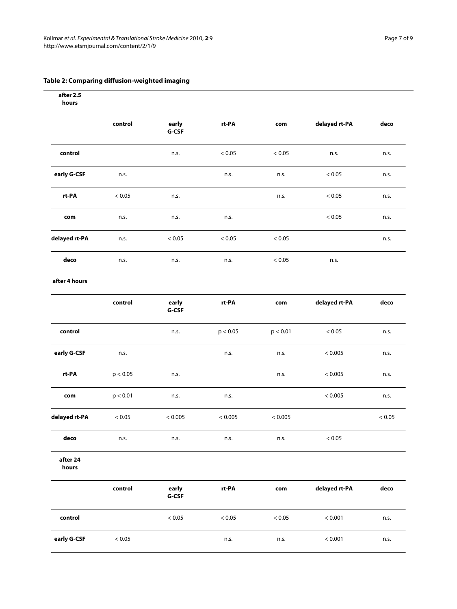# <span id="page-6-0"></span>**Table 2: Comparing diffusion-weighted imaging**

| after 2.5<br>hours |            |                  |          |                         |               |              |
|--------------------|------------|------------------|----------|-------------------------|---------------|--------------|
|                    | control    | early<br>G-CSF   | rt-PA    | $\mathop{\mathsf{com}}$ | delayed rt-PA | deco         |
| control            |            | n.s.             | $< 0.05$ | $< 0.05$                | n.s.          | n.s.         |
| early G-CSF        | n.s.       |                  | n.s.     | n.s.                    | < 0.05        | n.s.         |
| rt-PA              | < 0.05     | n.s.             |          | n.s.                    | < 0.05        | n.s.         |
| com                | n.s.       | n.s.             | n.s.     |                         | $< 0.05$      | n.s.         |
| delayed rt-PA      | n.s.       | $< 0.05$         | < 0.05   | $< 0.05$                |               | n.s.         |
| deco               | n.s.       | n.s.             | n.s.     | < 0.05                  | n.s.          |              |
| after 4 hours      |            |                  |          |                         |               |              |
|                    | control    | early<br>G-CSF   | rt-PA    | $\mathop{\mathsf{com}}$ | delayed rt-PA | deco         |
| control            |            | n.s.             | p < 0.05 | p < 0.01                | < 0.05        | n.s.         |
| early G-CSF        | n.s.       |                  | n.s.     | n.s.                    | < 0.005       | n.s.         |
| rt-PA              | p < 0.05   | n.s.             |          | n.s.                    | < 0.005       | n.s.         |
| com                | p < 0.01   | n.s.             | n.s.     |                         | < 0.005       | n.s.         |
| delayed rt-PA      | < 0.05     | < 0.005          | < 0.005  | < 0.005                 |               | < 0.05       |
| ${\sf deco}$       | n.s.       | n.s.             | n.s.     | n.s.                    | < 0.05        |              |
| after 24<br>hours  |            |                  |          |                         |               |              |
|                    | control    | early<br>$G-CSF$ | rt-PA    | com                     | delayed rt-PA | ${\sf deco}$ |
| control            |            | $< 0.05\,$       | $< 0.05$ | $< 0.05\,$              | < 0.001       | n.s.         |
| early G-CSF        | $< 0.05\,$ |                  | n.s.     | n.s.                    | < 0.001       | n.s.         |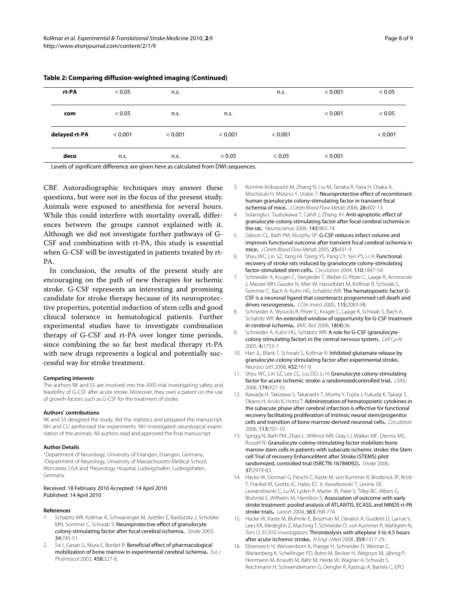| rt-PA         | < 0.05  | n.s.    |         | n.s.    | < 0.001 | < 0.05  |
|---------------|---------|---------|---------|---------|---------|---------|
| com           | < 0.05  | n.s.    | n.s.    |         | < 0.001 | < 0.05  |
| delayed rt-PA | < 0.001 | < 0.001 | < 0.001 | < 0.001 |         | < 0.001 |
| deco          | n.s.    | n.s.    | < 0.05  | < 0.05  | < 0.001 |         |

**Table 2: Comparing diffusion-weighted imaging (Continued)**

Levels of significant difference are given here as calculated from DWI-sequences.

CBF. Autoradiographic techniques may answer these questions, but were not in the focus of the present study. Animals were exposed to anesthesia for several hours. While this could interfere with mortality overall, differences between the groups cannot explained with it. Although we did not investigate further pathways of G-CSF and combination with rt-PA, this study is essential when G-CSF will be investigated in patients treated by rt-PA.

In conclusion, the results of the present study are encouraging on the path of new therapies for ischemic stroke. G-CSF represents an interesting and promising candidate for stroke therapy because of its neuroprotective properties, potential induction of stem cells and good clinical tolerance in hematological patients. Further experimental studies have to investigate combination therapy of G-CSF and rt-PA over longer time periods, since combining the so far best medical therapy rt-PA with new drugs represents a logical and potentially successful way for stroke treatment.

#### **Competing interests**

The authors RK and SS are involved into the AXIS-trial investigating safety and feasibility of G-CSF after acute stroke. Moreover, they own a patent on the use of growth-factors such as G-CSF for the treatment of stroke.

#### **Authors' contributions**

RK and SS designed the study, did the statistics and prepared the manuscript. NH and CU performed the experiments. NH investigated neurological examination of the animals. All authors read and approved the final manuscript.

#### **Author Details**

1Department of Neurology, University of Erlangen, Erlangen, Germany, 2Department of Neurology, University of Massachusetts Medical School, Worcester, USA and 3Neurology Hospital, Ludwigshafen, Ludwigshafen, Germany

#### Received: 18 February 2010 Accepted: 14 April 2010 Published: 14 April 2010

#### **References**

- <span id="page-7-0"></span>1. Schabitz WR, Kollmar R, Schwaninger M, Juettler E, Bardutzky J, Scholzke MN, Sommer C, Schwab S: Neuroprotective effect of granulocyte colony-stimulating factor after focal cerebral ischemia**.** Stroke 2003, 34:745-51.
- <span id="page-7-2"></span>2. Six I, Gasan G, Mura E, Bordet R: Beneficial effect of pharmacological mobilization of bone marrow in experimental cerebral ischemia**.** Eur J Pharmacol 2003, 458:327-8.
- <span id="page-7-3"></span>3. Komine-Kobayashi M, Zhang N, Liu M, Tanaka R, Hara H, Osaka A, Mochizuki H, Mizuno Y, Urabe T: Neuroprotective effect of recombinant human granulocyte colony-stimulating factor in transient focal ischemia of mice**.** J Cereb Blood Flow Metab 2006, 26:402-13.
- <span id="page-7-4"></span>4. Solaroglu I, Tsubokawa T, Cahill J, Zhang JH: Anti-apoptotic effect of granulocyte-colony stimulating factor after focal cerebral ischemia in the rat**.** Neuroscience 2006, 143:965-74.
- 5. Gibson CL, Bath PM, Murphy SP: G-CSF reduces infarct volume and improves functional outcome after transient focal cerebral ischemia in mice**.** J Cereb Blood Flow Metab 2005, 25:431-9.
- <span id="page-7-5"></span>6. Shyu WC, Lin SZ, Yang HI, Tzeng YS, Pang CY, Yen PS, Li H: Functional recovery of stroke rats induced by granulocyte colony-stimulating factor-stimulated stem cells**.** Circulation 2004, 110:1847-54.
- <span id="page-7-6"></span>7. Schneider A, Kruger C, Steigleder T, Weber D, Pitzer C, Laage R, Aronowski J, Maurer MH, Gassler N, Mier W, Hasselblatt M, Kollmar R, Schwab S, Sommer C, Bach A, Kuhn HG, Schabitz WR: The hematopoietic factor G-CSF is a neuronal ligand that counteracts programmed cell death and drives neurogenesis**.** J Clin Invest 2005, 115:2083-98.
- <span id="page-7-8"></span>8. Schneider A, Wysocki R, Pitzer C, Kruger C, Laage R, Schwab S, Bach A, Schabitz WR: An extended window of opportunity for G-CSF treatment in cerebral ischemia**.** BMC Biol 2006, 18(4):36.
- <span id="page-7-1"></span>9. Schneider A, Kuhn HG, Schabitz WR: A role for G-CSF (granulocytecolony stimulating factor) in the central nervous system**.** Cell Cycle 2005, 4:1753-7.
- <span id="page-7-7"></span>10. Han JL, Blank T, Schwab S, Kollmar R: Inhibited glutamate release by granulocyte-colony stimulating factor after experimental stroke**.** Neurosci Lett 2008, 432:167-9.
- <span id="page-7-9"></span>11. Shyu WC, Lin SZ, Lee CC, Liu DD, Li H: Granulocyte colony-stimulating factor for acute ischemic stroke: a randomizedcontrolled trial**[.](http://www.ncbi.nlm.nih.gov/entrez/query.fcgi?cmd=Retrieve&db=PubMed&dopt=Abstract&list_uids=16517764)** CMAJ 2006, 174:927-33.
- <span id="page-7-10"></span>12. Kawada H, Takizawa S, Takanashi T, Morita Y, Fujita J, Fukuda K, Takagi S, Okano H, Ando K, Hotta T: Administration of hematopoietic cytokines in the subacute phase after cerebral infarction is effective for functional recovery facilitating proliferation of intrinsic neural stem/progenitor cells and transition of bone marrow-derived neuronal cells**.** Circulation 2006, 113:701-10.
- <span id="page-7-11"></span>13. Sprigg N, Bath PM, Zhao L, Willmot MR, Gray LJ, Walker MF, Dennis MS, Russell N: Granulocyte-colony-stimulating factor mobilizes bone marrow stem cells in patients with subacute ischemic stroke: the Stem cell Trial of recovery EnhanceMent after Stroke (STEMS) pilot randomized, controlled trial (ISRCTN 16784092)**.** Stroke 2006, 37:2979-83.
- <span id="page-7-12"></span>14. Hacke W, Donnan G, Fieschi C, Kaste M, von Kummer R, Broderick JP, Brott T, Frankel M, Grotta JC, Haley EC Jr, Kwiatkowski T, Levine SR, Lewandowski C, Lu M, Lyden P, Marler JR, Patel S, Tilley BC, Albers G, Bluhmki E, Wilhelm M, Hamilton S: Association of outcome with early stroke treatment: pooled analysis of ATLANTIS, ECASS, and NINDS rt-PA stroke trials**.** Lancet 2004, 363:768-774.
- <span id="page-7-13"></span>15. Hacke W, Kaste M, Bluhmki E, Brozman M, Dávalos A, Guidetti D, Larrue V, Lees KR, Medeghri Z, Machnig T, Schneider D, von Kummer R, Wahlgren N, Toni D, ECASS Investigators: Thrombolysis with alteplase 3 to 4.5 hours after acute ischemic stroke**.** N Engl J Med 2008, 359:1317-29.
- <span id="page-7-14"></span>16. Ehrenreich H, Weissenborn K, Prange H, Schneider D, Weimar C, Wartenberg K, Schellinger PD, Bohn M, Becker H, Wegrzyn M, Jähnig P, Herrmann M, Knauth M, Bähr M, Heide W, Wagner A, Schwab S, Reichmann H, Schwendemann G, Dengler R, Kastrup A, Bartels C, EPO